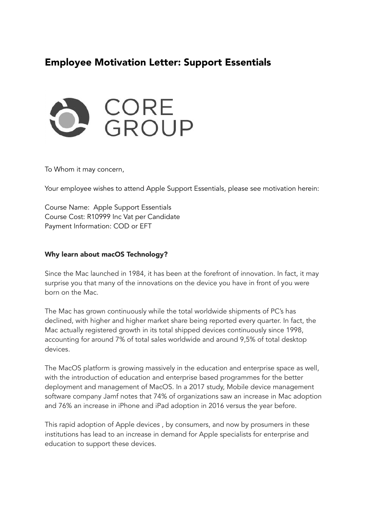# Employee Motivation Letter: Support Essentials



To Whom it may concern,

Your employee wishes to attend Apple Support Essentials, please see motivation herein:

Course Name: Apple Support Essentials Course Cost: R10999 Inc Vat per Candidate Payment Information: COD or EFT

#### Why learn about macOS Technology?

Since the Mac launched in 1984, it has been at the forefront of innovation. In fact, it may surprise you that many of the innovations on the device you have in front of you were born on the Mac.

The Mac has grown continuously while the total worldwide shipments of PC's has declined, with higher and higher market share being reported every quarter. In fact, the Mac actually registered growth in its total shipped devices continuously since 1998, accounting for around 7% of total sales worldwide and around 9,5% of total desktop devices.

The MacOS platform is growing massively in the education and enterprise space as well, with the introduction of education and enterprise based programmes for the better deployment and management of MacOS. In a 2017 study, Mobile device management software company Jamf notes that 74% of organizations saw an increase in Mac adoption and 76% an increase in iPhone and iPad adoption in 2016 versus the year before.

This rapid adoption of Apple devices , by consumers, and now by prosumers in these institutions has lead to an increase in demand for Apple specialists for enterprise and education to support these devices.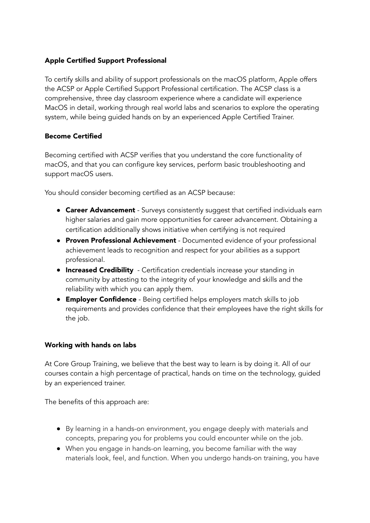## Apple Certified Support Professional

To certify skills and ability of support professionals on the macOS platform, Apple offers the ACSP or Apple Certified Support Professional certification. The ACSP class is a comprehensive, three day classroom experience where a candidate will experience MacOS in detail, working through real world labs and scenarios to explore the operating system, while being guided hands on by an experienced Apple Certified Trainer.

## Become Certified

Becoming certified with ACSP verifies that you understand the core functionality of macOS, and that you can configure key services, perform basic troubleshooting and support macOS users.

You should consider becoming certified as an ACSP because:

- **Career Advancement** Surveys consistently suggest that certified individuals earn higher salaries and gain more opportunities for career advancement. Obtaining a certification additionally shows initiative when certifying is not required
- **Proven Professional Achievement** Documented evidence of your professional achievement leads to recognition and respect for your abilities as a support professional.
- **Increased Credibility** Certification credentials increase your standing in community by attesting to the integrity of your knowledge and skills and the reliability with which you can apply them.
- **Employer Confidence** Being certified helps employers match skills to job requirements and provides confidence that their employees have the right skills for the job.

### Working with hands on labs

At Core Group Training, we believe that the best way to learn is by doing it. All of our courses contain a high percentage of practical, hands on time on the technology, guided by an experienced trainer.

The benefits of this approach are:

- By learning in a hands-on environment, you engage deeply with materials and concepts, preparing you for problems you could encounter while on the job.
- When you engage in hands-on learning, you become familiar with the way materials look, feel, and function. When you undergo hands-on training, you have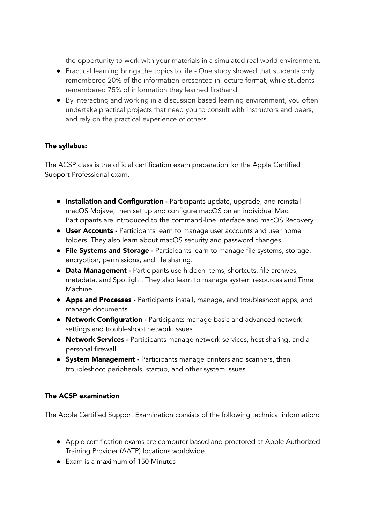the opportunity to work with your materials in a simulated real world environment.

- Practical learning brings the topics to life One study showed that students only remembered 20% of the information presented in lecture format, while students remembered 75% of information they learned firsthand.
- By interacting and working in a discussion based learning environment, you often undertake practical projects that need you to consult with instructors and peers, and rely on the practical experience of others.

## The syllabus:

The ACSP class is the official certification exam preparation for the Apple Certified Support Professional exam.

- **Installation and Configuration Participants update, upgrade, and reinstall** macOS Mojave, then set up and configure macOS on an individual Mac. Participants are introduced to the command-line interface and macOS Recovery.
- User Accounts Participants learn to manage user accounts and user home folders. They also learn about macOS security and password changes.
- **File Systems and Storage Participants learn to manage file systems, storage,** encryption, permissions, and file sharing.
- **Data Management Participants use hidden items, shortcuts, file archives,** metadata, and Spotlight. They also learn to manage system resources and Time Machine.
- **Apps and Processes -** Participants install, manage, and troubleshoot apps, and manage documents.
- **Network Configuration -** Participants manage basic and advanced network settings and troubleshoot network issues.
- **Network Services -** Participants manage network services, host sharing, and a personal firewall.
- **System Management** Participants manage printers and scanners, then troubleshoot peripherals, startup, and other system issues.

### The ACSP examination

The Apple Certified Support Examination consists of the following technical information:

- Apple certification exams are computer based and proctored at Apple Authorized Training Provider (AATP) locations worldwide.
- Exam is a maximum of 150 Minutes